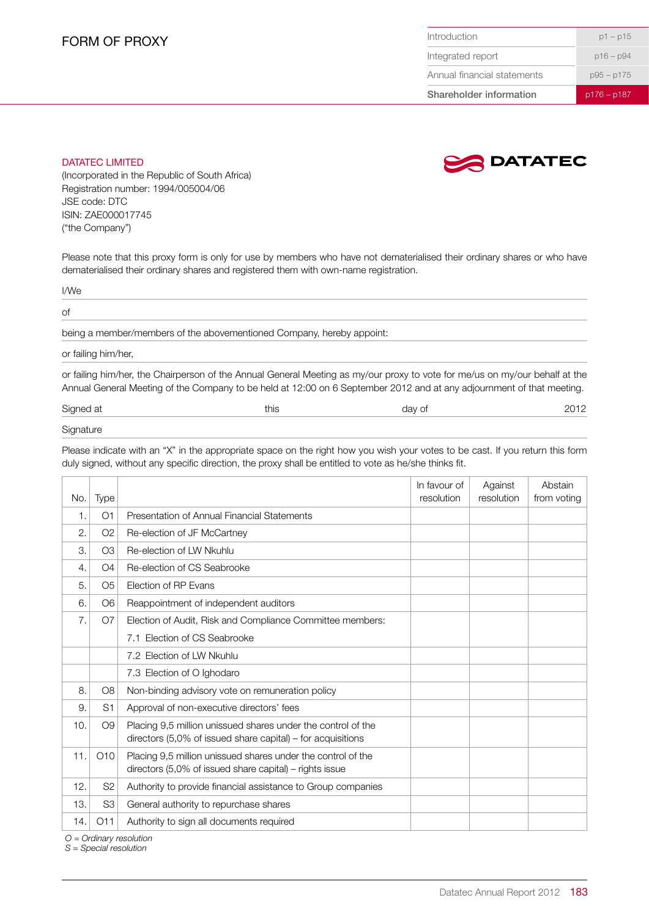| <b>Shareholder information</b> | $p176 - p187$ |  |  |
|--------------------------------|---------------|--|--|
| Annual financial statements    | $p95 - p175$  |  |  |
| Integrated report              | $p16 - p94$   |  |  |
| Introduction                   | $p1 - p15$    |  |  |

## DATATEC LIMITED



(Incorporated in the Republic of South Africa) Registration number: 1994/005004/06 JSE code: DTC ISIN: ZAE000017745 ("the Company")

Please note that this proxy form is only for use by members who have not dematerialised their ordinary shares or who have dematerialised their ordinary shares and registered them with own-name registration.

I/We

of

being a member/members of the abovementioned Company, hereby appoint:

or failing him/her,

or failing him/her, the Chairperson of the Annual General Meeting as my/our proxy to vote for me/us on my/our behalf at the Annual General Meeting of the Company to be held at 12:00 on 6 September 2012 and at any adjournment of that meeting.

Signed at this this this this day of 2012

## **Signature**

Please indicate with an "X" in the appropriate space on the right how you wish your votes to be cast. If you return this form duly signed, without any specific direction, the proxy shall be entitled to vote as he/she thinks fit.

| No. | <b>Type</b>     |                                                                                                                                | In favour of<br>resolution | Against<br>resolution | Abstain<br>from voting |
|-----|-----------------|--------------------------------------------------------------------------------------------------------------------------------|----------------------------|-----------------------|------------------------|
| 1.  | O <sub>1</sub>  | Presentation of Annual Financial Statements                                                                                    |                            |                       |                        |
| 2.  | O <sub>2</sub>  | Re-election of JF McCartney                                                                                                    |                            |                       |                        |
| 3.  | O <sub>3</sub>  | Re-election of LW Nkuhlu                                                                                                       |                            |                       |                        |
| 4.  | O <sub>4</sub>  | Re-election of CS Seabrooke                                                                                                    |                            |                       |                        |
| 5.  | O <sub>5</sub>  | Election of RP Evans                                                                                                           |                            |                       |                        |
| 6.  | O <sub>6</sub>  | Reappointment of independent auditors                                                                                          |                            |                       |                        |
| 7.  | O <sub>7</sub>  | Election of Audit, Risk and Compliance Committee members:                                                                      |                            |                       |                        |
|     |                 | 7.1 Election of CS Seabrooke                                                                                                   |                            |                       |                        |
|     |                 | 7.2 Election of LW Nkuhlu                                                                                                      |                            |                       |                        |
|     |                 | 7.3 Election of O Ighodaro                                                                                                     |                            |                       |                        |
| 8.  | O <sub>8</sub>  | Non-binding advisory vote on remuneration policy                                                                               |                            |                       |                        |
| 9.  | S <sub>1</sub>  | Approval of non-executive directors' fees                                                                                      |                            |                       |                        |
| 10. | O <sub>9</sub>  | Placing 9,5 million unissued shares under the control of the<br>directors $(5.0\%$ of issued share capital) – for acquisitions |                            |                       |                        |
| 11. | O <sub>10</sub> | Placing 9,5 million unissued shares under the control of the<br>directors (5,0% of issued share capital) - rights issue        |                            |                       |                        |
| 12. | S <sub>2</sub>  | Authority to provide financial assistance to Group companies                                                                   |                            |                       |                        |
| 13. | S <sub>3</sub>  | General authority to repurchase shares                                                                                         |                            |                       |                        |
| 14. | O11             | Authority to sign all documents required                                                                                       |                            |                       |                        |

*O = Ordinary resolution*

*S = Special resolution*